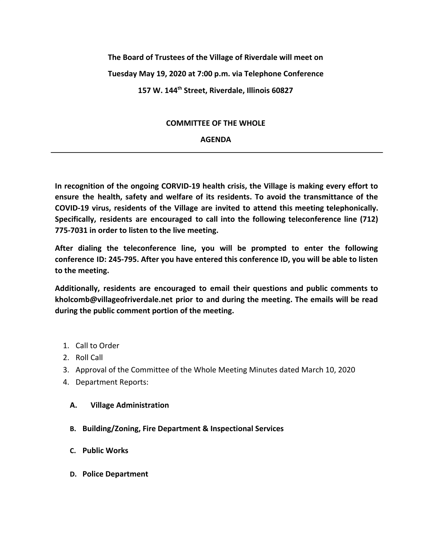# **The Board of Trustees of the Village of Riverdale will meet on Tuesday May 19, 2020 at 7:00 p.m. via Telephone Conference 157 W. 144th Street, Riverdale, Illinois 60827**

# **COMMITTEE OF THE WHOLE**

# **AGENDA**

**In recognition of the ongoing CORVID-19 health crisis, the Village is making every effort to ensure the health, safety and welfare of its residents. To avoid the transmittance of the COVID-19 virus, residents of the Village are invited to attend this meeting telephonically. Specifically, residents are encouraged to call into the following teleconference line (712) 775-7031 in order to listen to the live meeting.**

**After dialing the teleconference line, you will be prompted to enter the following conference ID: 245-795. After you have entered this conference ID, you will be able to listen to the meeting.**

**Additionally, residents are encouraged to email their questions and public comments to kholcomb@villageofriverdale.net prior to and during the meeting. The emails will be read during the public comment portion of the meeting.**

- 1. Call to Order
- 2. Roll Call
- 3. Approval of the Committee of the Whole Meeting Minutes dated March 10, 2020
- 4. Department Reports:

# **A. Village Administration**

- **B. Building/Zoning, Fire Department & Inspectional Services**
- **C. Public Works**
- **D. Police Department**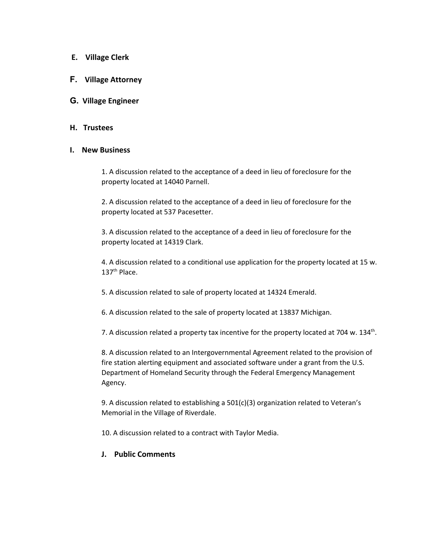- **E. Village Clerk**
- **F. Village Attorney**

## **G. Village Engineer**

#### **H. Trustees**

#### **I. New Business**

1. A discussion related to the acceptance of a deed in lieu of foreclosure for the property located at 14040 Parnell.

2. A discussion related to the acceptance of a deed in lieu of foreclosure for the property located at 537 Pacesetter.

3. A discussion related to the acceptance of a deed in lieu of foreclosure for the property located at 14319 Clark.

4. A discussion related to a conditional use application for the property located at 15 w. 137<sup>th</sup> Place.

5. A discussion related to sale of property located at 14324 Emerald.

6. A discussion related to the sale of property located at 13837 Michigan.

7. A discussion related a property tax incentive for the property located at 704 w. 134<sup>th</sup>.

8. A discussion related to an Intergovernmental Agreement related to the provision of fire station alerting equipment and associated software under a grant from the U.S. Department of Homeland Security through the Federal Emergency Management Agency.

9. A discussion related to establishing a 501(c)(3) organization related to Veteran's Memorial in the Village of Riverdale.

10. A discussion related to a contract with Taylor Media.

### **J. Public Comments**